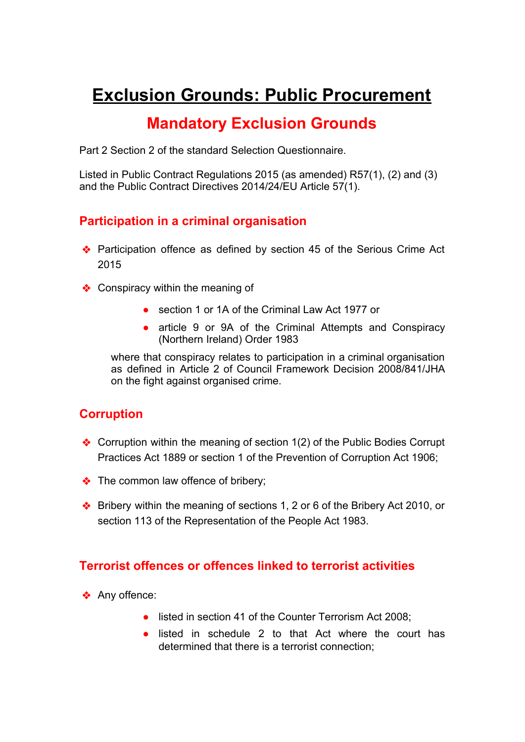# **Exclusion Grounds: Public Procurement**

# **Mandatory Exclusion Grounds**

Part 2 Section 2 of the standard Selection Questionnaire.

Listed in Public Contract Regulations 2015 (as amended) R57(1), (2) and (3) and the Public Contract Directives 2014/24/EU Article 57(1).

### **Participation in a criminal organisation**

- ❖ Participation offence as defined by section 45 of the Serious Crime Act 2015
- ❖ Conspiracy within the meaning of
	- section 1 or 1A of the Criminal Law Act 1977 or
	- article 9 or 9A of the Criminal Attempts and Conspiracy (Northern Ireland) Order 1983

where that conspiracy relates to participation in a criminal organisation as defined in Article 2 of Council Framework Decision 2008/841/JHA on the fight against organised crime.

# **Corruption**

- ❖ Corruption within the meaning of section 1(2) of the Public Bodies Corrupt Practices Act 1889 or section 1 of the Prevention of Corruption Act 1906;
- ❖ The common law offence of bribery;
- ❖ Bribery within the meaning of sections 1, 2 or 6 of the Bribery Act 2010, or section 113 of the Representation of the People Act 1983.

# **Terrorist offences or offences linked to terrorist activities**

- ❖ Any offence:
	- listed in section 41 of the Counter Terrorism Act 2008:
	- listed in schedule 2 to that Act where the court has determined that there is a terrorist connection;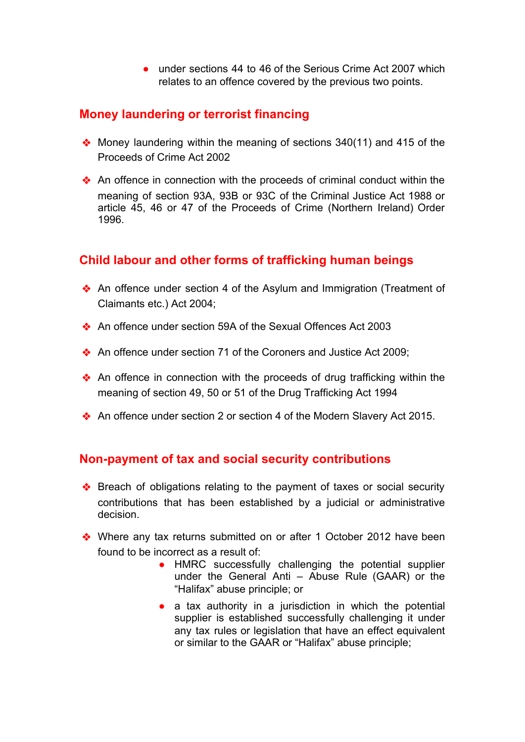● under sections 44 to 46 of the Serious Crime Act 2007 which relates to an offence covered by the previous two points.

# **Money laundering or terrorist financing**

- ❖ Money laundering within the meaning of sections 340(11) and 415 of the Proceeds of Crime Act 2002
- ❖ An offence in connection with the proceeds of criminal conduct within the meaning of section 93A, 93B or 93C of the Criminal Justice Act 1988 or article 45, 46 or 47 of the Proceeds of Crime (Northern Ireland) Order 1996.

# **Child labour and other forms of trafficking human beings**

- ❖ An offence under section 4 of the Asylum and Immigration (Treatment of Claimants etc.) Act 2004;
- ❖ An offence under section 59A of the Sexual Offences Act 2003
- ❖ An offence under section 71 of the Coroners and Justice Act 2009;
- ❖ An offence in connection with the proceeds of drug trafficking within the meaning of section 49, 50 or 51 of the Drug Trafficking Act 1994
- ❖ An offence under section 2 or section 4 of the Modern Slavery Act 2015.

# **Non-payment of tax and social security contributions**

- ❖ Breach of obligations relating to the payment of taxes or social security contributions that has been established by a judicial or administrative decision.
- ❖ Where any tax returns submitted on or after 1 October 2012 have been found to be incorrect as a result of:
	- HMRC successfully challenging the potential supplier under the General Anti – Abuse Rule (GAAR) or the "Halifax" abuse principle; or
	- a tax authority in a jurisdiction in which the potential supplier is established successfully challenging it under any tax rules or legislation that have an effect equivalent or similar to the GAAR or "Halifax" abuse principle;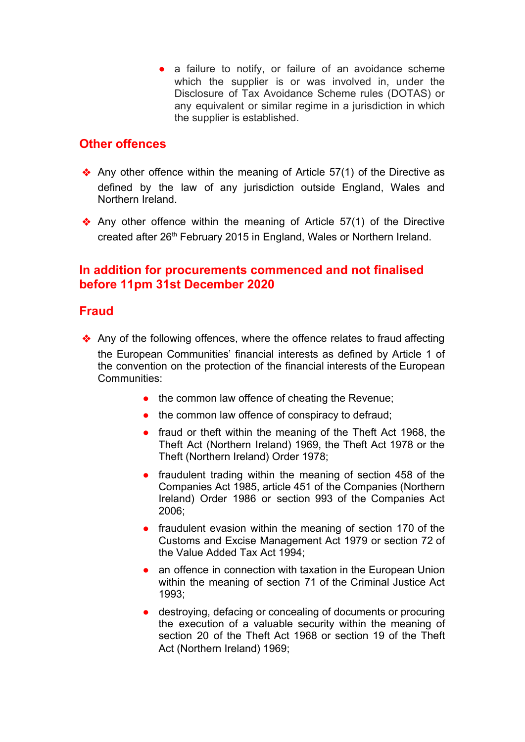• a failure to notify, or failure of an avoidance scheme which the supplier is or was involved in, under the Disclosure of Tax Avoidance Scheme rules (DOTAS) or any equivalent or similar regime in a jurisdiction in which the supplier is established.

### **Other offences**

- $\triangle$  Any other offence within the meaning of Article 57(1) of the Directive as defined by the law of any jurisdiction outside England, Wales and Northern Ireland.
- ❖ Any other offence within the meaning of Article 57(1) of the Directive created after 26<sup>th</sup> February 2015 in England, Wales or Northern Ireland.

# **In addition for procurements commenced and not finalised before 11pm 31st December 2020**

### **Fraud**

- ❖ Any of the following offences, where the offence relates to fraud affecting the European Communities' financial interests as defined by Article 1 of the convention on the protection of the financial interests of the European Communities:
	- the common law offence of cheating the Revenue;
	- the common law offence of conspiracy to defraud;
	- fraud or theft within the meaning of the Theft Act 1968, the Theft Act (Northern Ireland) 1969, the Theft Act 1978 or the Theft (Northern Ireland) Order 1978;
	- fraudulent trading within the meaning of section 458 of the Companies Act 1985, article 451 of the Companies (Northern Ireland) Order 1986 or section 993 of the Companies Act 2006;
	- fraudulent evasion within the meaning of section 170 of the Customs and Excise Management Act 1979 or section 72 of the Value Added Tax Act 1994;
	- an offence in connection with taxation in the European Union within the meaning of section 71 of the Criminal Justice Act 1993;
	- destroying, defacing or concealing of documents or procuring the execution of a valuable security within the meaning of section 20 of the Theft Act 1968 or section 19 of the Theft Act (Northern Ireland) 1969;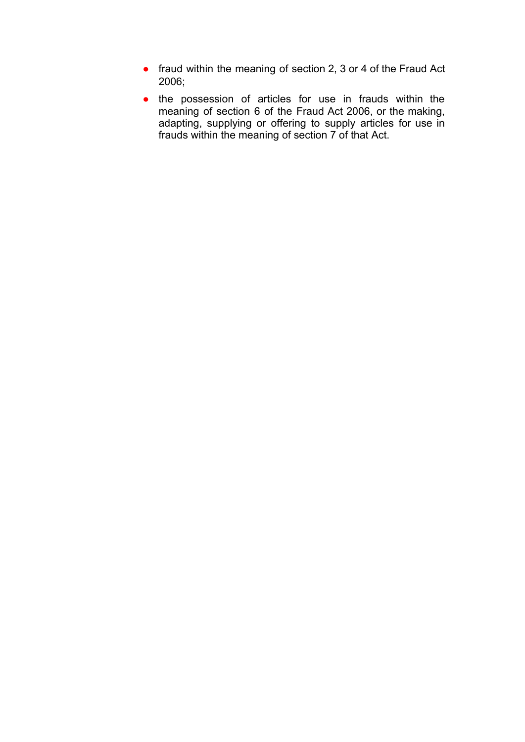- fraud within the meaning of section 2, 3 or 4 of the Fraud Act 2006;
- the possession of articles for use in frauds within the meaning of section 6 of the Fraud Act 2006, or the making, adapting, supplying or offering to supply articles for use in frauds within the meaning of section 7 of that Act.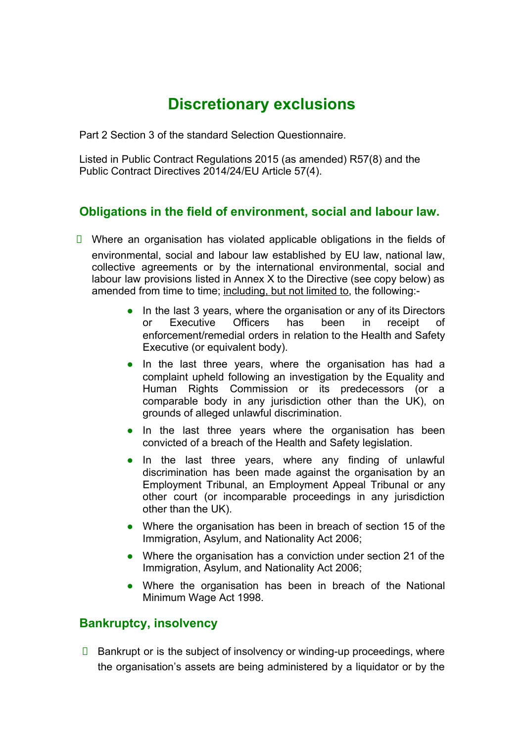# **Discretionary exclusions**

Part 2 Section 3 of the standard Selection Questionnaire.

Listed in Public Contract Regulations 2015 (as amended) R57(8) and the Public Contract Directives 2014/24/EU Article 57(4).

#### **Obligations in the field of environment, social and labour law.**

- $\Box$  Where an organisation has violated applicable obligations in the fields of environmental, social and labour law established by EU law, national law, collective agreements or by the international environmental, social and labour law provisions listed in Annex X to the Directive (see copy below) as amended from time to time; including, but not limited to, the following:-
	- In the last 3 years, where the organisation or any of its Directors or Executive Officers has been in receipt of enforcement/remedial orders in relation to the Health and Safety Executive (or equivalent body).
	- In the last three years, where the organisation has had a complaint upheld following an investigation by the Equality and Human Rights Commission or its predecessors (or a comparable body in any jurisdiction other than the UK), on grounds of alleged unlawful discrimination.
	- In the last three years where the organisation has been convicted of a breach of the Health and Safety legislation.
	- In the last three years, where any finding of unlawful discrimination has been made against the organisation by an Employment Tribunal, an Employment Appeal Tribunal or any other court (or incomparable proceedings in any jurisdiction other than the UK).
	- Where the organisation has been in breach of section 15 of the Immigration, Asylum, and Nationality Act 2006;
	- Where the organisation has a conviction under section 21 of the Immigration, Asylum, and Nationality Act 2006;
	- Where the organisation has been in breach of the National Minimum Wage Act 1998.

#### **Bankruptcy, insolvency**

 $\Box$  Bankrupt or is the subject of insolvency or winding-up proceedings, where the organisation's assets are being administered by a liquidator or by the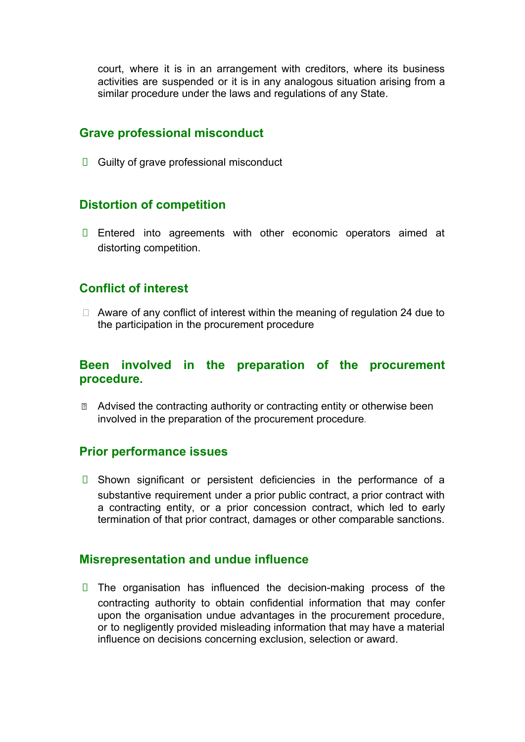court, where it is in an arrangement with creditors, where its business activities are suspended or it is in any analogous situation arising from a similar procedure under the laws and regulations of any State.

#### **Grave professional misconduct**

 $\Box$  Guilty of grave professional misconduct

#### **Distortion of competition**

**Entered into agreements with other economic operators aimed at** distorting competition.

#### **Conflict of interest**

 $\Box$  Aware of any conflict of interest within the meaning of regulation 24 due to the participation in the procurement procedure

#### **Been involved in the preparation of the procurement procedure.**

**■** Advised the contracting authority or contracting entity or otherwise been involved in the preparation of the procurement procedure.

#### **Prior performance issues**

 $\Box$  Shown significant or persistent deficiencies in the performance of a substantive requirement under a prior public contract, a prior contract with a contracting entity, or a prior concession contract, which led to early termination of that prior contract, damages or other comparable sanctions.

#### **Misrepresentation and undue influence**

 $\Box$  The organisation has influenced the decision-making process of the contracting authority to obtain confidential information that may confer upon the organisation undue advantages in the procurement procedure, or to negligently provided misleading information that may have a material influence on decisions concerning exclusion, selection or award.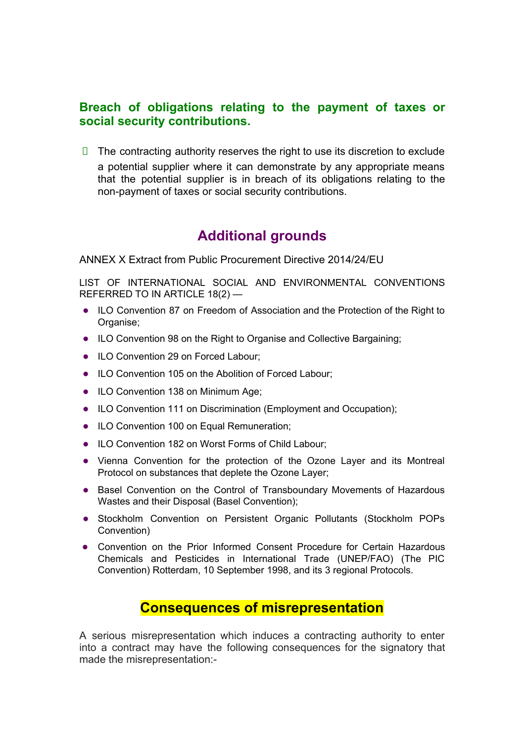#### **Breach of obligations relating to the payment of taxes or social security contributions.**

 $\Box$  The contracting authority reserves the right to use its discretion to exclude a potential supplier where it can demonstrate by any appropriate means that the potential supplier is in breach of its obligations relating to the non-payment of taxes or social security contributions.

# **Additional grounds**

ANNEX X Extract from Public Procurement Directive 2014/24/EU

LIST OF INTERNATIONAL SOCIAL AND ENVIRONMENTAL CONVENTIONS REFERRED TO IN ARTICLE 18(2) —

- ILO Convention 87 on Freedom of Association and the Protection of the Right to Organise;
- ILO Convention 98 on the Right to Organise and Collective Bargaining;
- ILO Convention 29 on Forced Labour;
- ILO Convention 105 on the Abolition of Forced Labour;
- ILO Convention 138 on Minimum Age;
- ILO Convention 111 on Discrimination (Employment and Occupation);
- ILO Convention 100 on Equal Remuneration;
- ILO Convention 182 on Worst Forms of Child Labour;
- Vienna Convention for the protection of the Ozone Layer and its Montreal Protocol on substances that deplete the Ozone Layer;
- Basel Convention on the Control of Transboundary Movements of Hazardous Wastes and their Disposal (Basel Convention);
- Stockholm Convention on Persistent Organic Pollutants (Stockholm POPs Convention)
- Convention on the Prior Informed Consent Procedure for Certain Hazardous Chemicals and Pesticides in International Trade (UNEP/FAO) (The PIC Convention) Rotterdam, 10 September 1998, and its 3 regional Protocols.

# **Consequences of misrepresentation**

A serious misrepresentation which induces a contracting authority to enter into a contract may have the following consequences for the signatory that made the misrepresentation:-